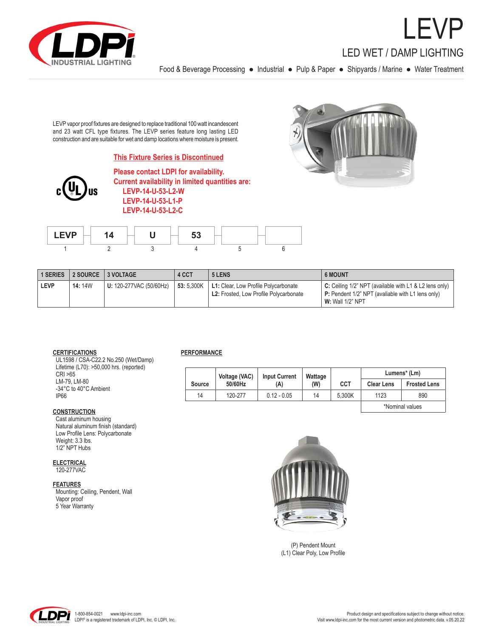

LEVP LED WET / DAMP LIGHTING

Food & Beverage Processing ● Industrial ● Pulp & Paper ● Shipyards / Marine ● Water Treatment

LEVP vapor proof fixtures are designed to replace traditional 100 watt incandescent and 23 watt CFL type fixtures. The LEVP series feature long lasting LED construction and are suitable for wet and damp locations where moisture is present.

# **This Fixture Series is Discontinued**



**Please contact LDPI for availability. Current availability in limited quantities are: LEVP-14-U-53-L2-W LEVP-14-U-53-L1-P LEVP-14-U-53-L2-C**



| $I$ $EVD$ | _<br>- |  |  |  |  |  |
|-----------|--------|--|--|--|--|--|
|           |        |  |  |  |  |  |

| <b>1 SERIES</b> | 2 SOURCE 3 VOLTAGE |                                | 4 CCT      | 5 LENS                                                                         | <b>6 MOUNT</b>                                                                                                                                    |  |  |
|-----------------|--------------------|--------------------------------|------------|--------------------------------------------------------------------------------|---------------------------------------------------------------------------------------------------------------------------------------------------|--|--|
| <b>LEVP</b>     | <b>14:</b> 14W     | <b>U:</b> 120-277VAC (50/60Hz) | 53: 5.300K | L1: Clear, Low Profile Polycarbonate<br>L2: Frosted, Low Profile Polycarbonate | $\mathsf C$ : Ceiling 1/2" NPT (available with L1 & L2 lens only)<br>P: Pendent 1/2" NPT (avaliable with L1 lens only)<br><b>W:</b> Wall 1/2" NPT |  |  |

### **CERTIFICATIONS**

 UL1598 / CSA-C22.2 No.250 (Wet/Damp) Lifetime (L70): >50,000 hrs. (reported) CRI >65 LM-79, LM-80 -34°C to 40°C Ambient IP66

### **CONSTRUCTION**

 Cast aluminum housing Natural aluminum finish (standard) Low Profile Lens: Polycarbonate Weight: 3.3 lbs. 1/2" NPT Hubs

### **ELECTRICAL**

120-277VAC

### **FEATURES**

 Mounting: Ceiling, Pendent, Wall Vapor proof 5 Year Warranty

### **PERFORMANCE**

|                 | Voltage (VAC) | <b>Input Current</b> | Wattage |            | Lumens <sup>*</sup> (Lm) |                     |  |
|-----------------|---------------|----------------------|---------|------------|--------------------------|---------------------|--|
| Source          | 50/60Hz       | (A)                  | (W)     | <b>CCT</b> | <b>Clear Lens</b>        | <b>Frosted Lens</b> |  |
| 14              | 120-277       | $0.12 - 0.05$        | 14      | 5.300K     | 1123                     | 890                 |  |
| *Nominal values |               |                      |         |            |                          |                     |  |



(P) Pendent Mount (L1) Clear Poly, Low Profile